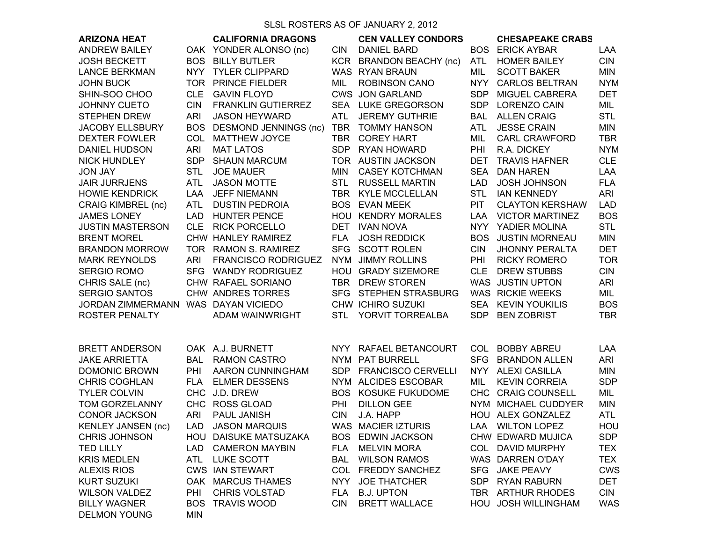SLSL ROSTERS AS OF JANUARY 2, 2012

| <b>ARIZONA HEAT</b><br><b>ANDREW BAILEY</b>    |                          | <b>CALIFORNIA DRAGONS</b><br>OAK YONDER ALONSO (nc) | <b>CIN</b> | <b>CEN VALLEY CONDORS</b><br><b>DANIEL BARD</b> | <b>BOS</b>               | <b>CHESAPEAKE CRABS</b><br><b>ERICK AYBAR</b> | LAA                      |
|------------------------------------------------|--------------------------|-----------------------------------------------------|------------|-------------------------------------------------|--------------------------|-----------------------------------------------|--------------------------|
|                                                |                          |                                                     |            |                                                 |                          |                                               |                          |
| <b>JOSH BECKETT</b>                            |                          | <b>BOS BILLY BUTLER</b>                             |            | KCR BRANDON BEACHY (nc)                         | <b>ATL</b>               | <b>HOMER BAILEY</b>                           | <b>CIN</b>               |
| <b>LANCE BERKMAN</b>                           |                          | NYY TYLER CLIPPARD                                  |            | WAS RYAN BRAUN                                  | MIL                      | <b>SCOTT BAKER</b>                            | <b>MIN</b>               |
| <b>JOHN BUCK</b>                               |                          | TOR PRINCE FIELDER                                  | MIL        | <b>ROBINSON CANO</b>                            | <b>NYY</b>               | <b>CARLOS BELTRAN</b>                         | <b>NYM</b>               |
| SHIN-SOO CHOO                                  | <b>CLE</b>               | <b>GAVIN FLOYD</b>                                  |            | <b>CWS JON GARLAND</b>                          | <b>SDP</b>               | MIGUEL CABRERA                                | <b>DET</b>               |
| <b>JOHNNY CUETO</b>                            | <b>CIN</b>               | <b>FRANKLIN GUTIERREZ</b>                           |            | SEA LUKE GREGORSON                              | <b>SDP</b>               | <b>LORENZO CAIN</b>                           | MIL                      |
| <b>STEPHEN DREW</b>                            | <b>ARI</b>               | <b>JASON HEYWARD</b>                                | ATL        | <b>JEREMY GUTHRIE</b>                           | BAL                      | <b>ALLEN CRAIG</b><br><b>JESSE CRAIN</b>      | <b>STL</b>               |
| <b>JACOBY ELLSBURY</b><br><b>DEXTER FOWLER</b> |                          | BOS DESMOND JENNINGS (nc)<br>COL MATTHEW JOYCE      | <b>TBR</b> | TBR TOMMY HANSON<br><b>COREY HART</b>           | <b>ATL</b><br><b>MIL</b> | <b>CARL CRAWFORD</b>                          | <b>MIN</b><br><b>TBR</b> |
|                                                |                          | <b>MAT LATOS</b>                                    |            | SDP RYAN HOWARD                                 | PHI                      | R.A. DICKEY                                   | <b>NYM</b>               |
| <b>DANIEL HUDSON</b><br><b>NICK HUNDLEY</b>    | <b>ARI</b><br><b>SDP</b> | <b>SHAUN MARCUM</b>                                 |            | TOR AUSTIN JACKSON                              | <b>DET</b>               | <b>TRAVIS HAFNER</b>                          | <b>CLE</b>               |
| <b>JON JAY</b>                                 | <b>STL</b>               | <b>JOE MAUER</b>                                    | <b>MIN</b> | <b>CASEY KOTCHMAN</b>                           | <b>SEA</b>               | <b>DAN HAREN</b>                              | <b>LAA</b>               |
| <b>JAIR JURRJENS</b>                           | <b>ATL</b>               | <b>JASON MOTTE</b>                                  | <b>STL</b> | <b>RUSSELL MARTIN</b>                           | <b>LAD</b>               | <b>JOSH JOHNSON</b>                           | <b>FLA</b>               |
| <b>HOWIE KENDRICK</b>                          | LAA                      | <b>JEFF NIEMANN</b>                                 |            | TBR KYLE MCCLELLAN                              | <b>STL</b>               | <b>IAN KENNEDY</b>                            | <b>ARI</b>               |
| <b>CRAIG KIMBREL (nc)</b>                      | <b>ATL</b>               | <b>DUSTIN PEDROIA</b>                               |            | <b>BOS EVAN MEEK</b>                            | <b>PIT</b>               | <b>CLAYTON KERSHAW</b>                        | <b>LAD</b>               |
| <b>JAMES LONEY</b>                             |                          | LAD HUNTER PENCE                                    |            | <b>HOU KENDRY MORALES</b>                       | LAA                      | <b>VICTOR MARTINEZ</b>                        | <b>BOS</b>               |
| <b>JUSTIN MASTERSON</b>                        |                          | CLE RICK PORCELLO                                   |            | DET IVAN NOVA                                   | <b>NYY</b>               | YADIER MOLINA                                 | <b>STL</b>               |
| <b>BRENT MOREL</b>                             |                          | CHW HANLEY RAMIREZ                                  | <b>FLA</b> | <b>JOSH REDDICK</b>                             | <b>BOS</b>               | <b>JUSTIN MORNEAU</b>                         | <b>MIN</b>               |
| <b>BRANDON MORROW</b>                          |                          | TOR RAMON S. RAMIREZ                                |            | SFG SCOTT ROLEN                                 | <b>CIN</b>               | <b>JHONNY PERALTA</b>                         | <b>DET</b>               |
| <b>MARK REYNOLDS</b>                           | <b>ARI</b>               | <b>FRANCISCO RODRIGUEZ</b>                          |            | NYM JIMMY ROLLINS                               | PHI                      | <b>RICKY ROMERO</b>                           | <b>TOR</b>               |
| <b>SERGIO ROMO</b>                             |                          | SFG WANDY RODRIGUEZ                                 |            | HOU GRADY SIZEMORE                              | <b>CLE</b>               | <b>DREW STUBBS</b>                            | <b>CIN</b>               |
| CHRIS SALE (nc)                                |                          | CHW RAFAEL SORIANO                                  |            | TBR DREW STOREN                                 |                          | WAS JUSTIN UPTON                              | ARI                      |
| <b>SERGIO SANTOS</b>                           |                          | CHW ANDRES TORRES                                   |            | SFG STEPHEN STRASBURG                           |                          | WAS RICKIE WEEKS                              | MIL                      |
| JORDAN ZIMMERMANN WAS DAYAN VICIEDO            |                          |                                                     |            | CHW ICHIRO SUZUKI                               | SEA                      | <b>KEVIN YOUKILIS</b>                         | <b>BOS</b>               |
| <b>ROSTER PENALTY</b>                          |                          | ADAM WAINWRIGHT                                     |            | STL YORVIT TORREALBA                            | <b>SDP</b>               | <b>BEN ZOBRIST</b>                            | <b>TBR</b>               |
|                                                |                          |                                                     |            |                                                 |                          |                                               |                          |
| <b>BRETT ANDERSON</b>                          |                          | OAK A.J. BURNETT                                    |            | NYY RAFAEL BETANCOURT                           |                          | COL BOBBY ABREU                               | LAA                      |
| <b>JAKE ARRIETTA</b>                           |                          | <b>BAL RAMON CASTRO</b>                             |            | NYM PAT BURRELL                                 | <b>SFG</b>               | <b>BRANDON ALLEN</b>                          | ARI                      |
| <b>DOMONIC BROWN</b>                           | PHI                      | <b>AARON CUNNINGHAM</b>                             |            | SDP FRANCISCO CERVELLI                          |                          | NYY ALEXI CASILLA                             | <b>MIN</b>               |
| <b>CHRIS COGHLAN</b>                           |                          | FLA ELMER DESSENS                                   |            | NYM ALCIDES ESCOBAR                             | MIL                      | <b>KEVIN CORREIA</b>                          | <b>SDP</b>               |
| <b>TYLER COLVIN</b>                            |                          | CHC J.D. DREW                                       |            | <b>BOS KOSUKE FUKUDOME</b>                      |                          | CHC CRAIG COUNSELL                            | MIL                      |
| TOM GORZELANNY                                 |                          | CHC ROSS GLOAD                                      | <b>PHI</b> | <b>DILLON GEE</b>                               |                          | NYM MICHAEL CUDDYER                           | <b>MIN</b>               |
| <b>CONOR JACKSON</b>                           | <b>ARI</b>               | PAUL JANISH                                         | <b>CIN</b> | J.A. HAPP                                       |                          | HOU ALEX GONZALEZ                             | <b>ATL</b>               |
| <b>KENLEY JANSEN (nc)</b>                      |                          | LAD JASON MARQUIS                                   |            | WAS MACIER IZTURIS                              |                          | LAA WILTON LOPEZ                              | HOU                      |
| <b>CHRIS JOHNSON</b>                           | <b>HOU</b>               | DAISUKE MATSUZAKA                                   | <b>BOS</b> | <b>EDWIN JACKSON</b>                            |                          | CHW EDWARD MUJICA                             | <b>SDP</b>               |
| <b>TED LILLY</b>                               | <b>LAD</b>               | <b>CAMERON MAYBIN</b>                               | <b>FLA</b> | <b>MELVIN MORA</b>                              |                          | COL DAVID MURPHY                              | <b>TEX</b>               |
| <b>KRIS MEDLEN</b>                             | <b>ATL</b>               | <b>LUKE SCOTT</b>                                   | <b>BAL</b> | <b>WILSON RAMOS</b>                             |                          | WAS DARREN O'DAY                              | <b>TEX</b>               |
| <b>ALEXIS RIOS</b>                             |                          | <b>CWS IAN STEWART</b>                              | <b>COL</b> | <b>FREDDY SANCHEZ</b>                           | SFG                      | <b>JAKE PEAVY</b>                             | <b>CWS</b>               |
| <b>KURT SUZUKI</b>                             |                          | OAK MARCUS THAMES                                   | <b>NYY</b> | <b>JOE THATCHER</b>                             | <b>SDP</b>               | <b>RYAN RABURN</b>                            | <b>DET</b>               |
| <b>WILSON VALDEZ</b>                           | PHI                      | CHRIS VOLSTAD                                       | <b>FLA</b> | <b>B.J. UPTON</b>                               |                          | TBR ARTHUR RHODES                             | <b>CIN</b>               |
| <b>BILLY WAGNER</b>                            | <b>BOS</b>               | <b>TRAVIS WOOD</b>                                  | <b>CIN</b> | <b>BRETT WALLACE</b>                            |                          | HOU JOSH WILLINGHAM                           | <b>WAS</b>               |
| <b>DELMON YOUNG</b>                            | <b>MIN</b>               |                                                     |            |                                                 |                          |                                               |                          |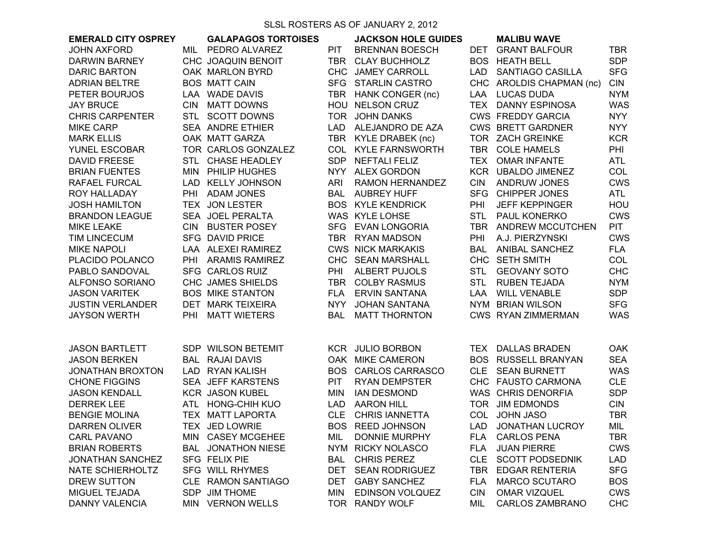SLSL ROSTERS AS OF JANUARY 2, 2012

|                            |            |                            |            | 0000 1100 110 710 01 07 11 10 71 1 2, 20 1 2 |            |                            |            |
|----------------------------|------------|----------------------------|------------|----------------------------------------------|------------|----------------------------|------------|
| <b>EMERALD CITY OSPREY</b> |            | <b>GALAPAGOS TORTOISES</b> |            | <b>JACKSON HOLE GUIDES</b>                   |            | <b>MALIBU WAVE</b>         |            |
| <b>JOHN AXFORD</b>         | MIL        | PEDRO ALVAREZ              | PIT.       | <b>BRENNAN BOESCH</b>                        | <b>DET</b> | <b>GRANT BALFOUR</b>       | <b>TBR</b> |
| <b>DARWIN BARNEY</b>       |            | CHC JOAQUIN BENOIT         | TBR        | <b>CLAY BUCHHOLZ</b>                         |            | <b>BOS HEATH BELL</b>      | <b>SDP</b> |
| <b>DARIC BARTON</b>        |            | OAK MARLON BYRD            |            | CHC JAMEY CARROLL                            | <b>LAD</b> | SANTIAGO CASILLA           | <b>SFG</b> |
| <b>ADRIAN BELTRE</b>       |            | <b>BOS MATT CAIN</b>       |            | SFG STARLIN CASTRO                           |            | CHC AROLDIS CHAPMAN (nc)   | <b>CIN</b> |
| PETER BOURJOS              |            | LAA WADE DAVIS             |            | TBR HANK CONGER (nc)                         | LAA        | <b>LUCAS DUDA</b>          | <b>NYM</b> |
| <b>JAY BRUCE</b>           | <b>CIN</b> | <b>MATT DOWNS</b>          | HOU        | <b>NELSON CRUZ</b>                           | TEX        | <b>DANNY ESPINOSA</b>      | <b>WAS</b> |
| <b>CHRIS CARPENTER</b>     |            | STL SCOTT DOWNS            |            | TOR JOHN DANKS                               |            | <b>CWS FREDDY GARCIA</b>   | <b>NYY</b> |
| <b>MIKE CARP</b>           |            | <b>SEA ANDRE ETHIER</b>    |            | LAD ALEJANDRO DE AZA                         |            | <b>CWS BRETT GARDNER</b>   | <b>NYY</b> |
| <b>MARK ELLIS</b>          |            | OAK MATT GARZA             |            | TBR KYLE DRABEK (nc)                         |            | TOR ZACH GREINKE           | <b>KCR</b> |
| YUNEL ESCOBAR              |            | TOR CARLOS GONZALEZ        |            | COL KYLE FARNSWORTH                          | <b>TBR</b> | <b>COLE HAMELS</b>         | PHI        |
| <b>DAVID FREESE</b>        |            | STL CHASE HEADLEY          | <b>SDP</b> | <b>NEFTALI FELIZ</b>                         | <b>TEX</b> | <b>OMAR INFANTE</b>        | <b>ATL</b> |
| <b>BRIAN FUENTES</b>       | <b>MIN</b> | PHILIP HUGHES              |            | NYY ALEX GORDON                              |            | KCR UBALDO JIMENEZ         | COL        |
| RAFAEL FURCAL              |            | LAD KELLY JOHNSON          | ARI        | <b>RAMON HERNANDEZ</b>                       | <b>CIN</b> | <b>ANDRUW JONES</b>        | <b>CWS</b> |
| ROY HALLADAY               | <b>PHI</b> | <b>ADAM JONES</b>          |            | <b>BAL AUBREY HUFF</b>                       | <b>SFG</b> | <b>CHIPPER JONES</b>       | <b>ATL</b> |
| <b>JOSH HAMILTON</b>       |            | TEX JON LESTER             |            | <b>BOS KYLE KENDRICK</b>                     | PHI        | <b>JEFF KEPPINGER</b>      | HOU        |
| <b>BRANDON LEAGUE</b>      |            | SEA JOEL PERALTA           |            | WAS KYLE LOHSE                               | <b>STL</b> | PAUL KONERKO               | <b>CWS</b> |
| <b>MIKE LEAKE</b>          |            | CIN BUSTER POSEY           |            | SFG EVAN LONGORIA                            |            | TBR ANDREW MCCUTCHEN       | <b>PIT</b> |
| <b>TIM LINCECUM</b>        |            | <b>SFG DAVID PRICE</b>     |            | TBR RYAN MADSON                              | PHI        | A.J. PIERZYNSKI            | <b>CWS</b> |
| <b>MIKE NAPOLI</b>         |            | LAA ALEXEI RAMIREZ         |            | <b>CWS NICK MARKAKIS</b>                     | BAL        | <b>ANIBAL SANCHEZ</b>      | <b>FLA</b> |
| PLACIDO POLANCO            |            | PHI ARAMIS RAMIREZ         |            | CHC SEAN MARSHALL                            |            | CHC SETH SMITH             | COL        |
| PABLO SANDOVAL             |            | <b>SFG CARLOS RUIZ</b>     | PHI        | <b>ALBERT PUJOLS</b>                         | <b>STL</b> | <b>GEOVANY SOTO</b>        | <b>CHC</b> |
| <b>ALFONSO SORIANO</b>     |            | CHC JAMES SHIELDS          | <b>TBR</b> | <b>COLBY RASMUS</b>                          | <b>STL</b> | <b>RUBEN TEJADA</b>        | <b>NYM</b> |
| <b>JASON VARITEK</b>       |            | <b>BOS MIKE STANTON</b>    | <b>FLA</b> | <b>ERVIN SANTANA</b>                         | <b>LAA</b> | <b>WILL VENABLE</b>        | <b>SDP</b> |
| <b>JUSTIN VERLANDER</b>    |            | DET MARK TEIXEIRA          | <b>NYY</b> | <b>JOHAN SANTANA</b>                         | <b>NYM</b> | <b>BRIAN WILSON</b>        | <b>SFG</b> |
| <b>JAYSON WERTH</b>        | PHI        | <b>MATT WIETERS</b>        | BAL        | <b>MATT THORNTON</b>                         |            | <b>CWS RYAN ZIMMERMAN</b>  | <b>WAS</b> |
|                            |            |                            |            |                                              |            |                            |            |
|                            |            |                            |            |                                              |            |                            |            |
| <b>JASON BARTLETT</b>      |            | SDP WILSON BETEMIT         |            | <b>KCR JULIO BORBON</b>                      | <b>TEX</b> | <b>DALLAS BRADEN</b>       | <b>OAK</b> |
| <b>JASON BERKEN</b>        |            | <b>BAL RAJAI DAVIS</b>     |            | OAK MIKE CAMERON                             |            | <b>BOS RUSSELL BRANYAN</b> | <b>SEA</b> |
| <b>JONATHAN BROXTON</b>    |            | LAD RYAN KALISH            |            | BOS CARLOS CARRASCO                          |            | CLE SEAN BURNETT           | <b>WAS</b> |
| <b>CHONE FIGGINS</b>       |            | SEA JEFF KARSTENS          | <b>PIT</b> | <b>RYAN DEMPSTER</b>                         |            | CHC FAUSTO CARMONA         | <b>CLE</b> |
| <b>JASON KENDALL</b>       |            | <b>KCR JASON KUBEL</b>     | MIN        | <b>IAN DESMOND</b>                           |            | WAS CHRIS DENORFIA         | <b>SDP</b> |
| <b>DERREK LEE</b>          |            | ATL HONG-CHIH KUO          |            | LAD AARON HILL                               |            | TOR JIM EDMONDS            | <b>CIN</b> |
| <b>BENGIE MOLINA</b>       |            | TEX MATT LAPORTA           |            | CLE CHRIS IANNETTA                           |            | COL JOHN JASO              | <b>TBR</b> |
| <b>DARREN OLIVER</b>       |            | TEX JED LOWRIE             |            | BOS REED JOHNSON                             | <b>LAD</b> | JONATHAN LUCROY            | MIL        |
| <b>CARL PAVANO</b>         | MIN.       | <b>CASEY MCGEHEE</b>       | MIL        | <b>DONNIE MURPHY</b>                         | <b>FLA</b> | <b>CARLOS PENA</b>         | <b>TBR</b> |
| <b>BRIAN ROBERTS</b>       |            | <b>BAL JONATHON NIESE</b>  |            | NYM RICKY NOLASCO                            | <b>FLA</b> | <b>JUAN PIERRE</b>         | <b>CWS</b> |
| <b>JONATHAN SANCHEZ</b>    |            | SFG FELIX PIE              | <b>BAL</b> | <b>CHRIS PEREZ</b>                           | <b>CLE</b> | <b>SCOTT PODSEDNIK</b>     | <b>LAD</b> |
| NATE SCHIERHOLTZ           |            | SFG WILL RHYMES            | DET        | <b>SEAN RODRIGUEZ</b>                        | <b>TBR</b> | <b>EDGAR RENTERIA</b>      | <b>SFG</b> |
| <b>DREW SUTTON</b>         |            | CLE RAMON SANTIAGO         | DET        | <b>GABY SANCHEZ</b>                          | <b>FLA</b> | <b>MARCO SCUTARO</b>       | <b>BOS</b> |
| MIGUEL TEJADA              |            | SDP JIM THOME              | <b>MIN</b> | <b>EDINSON VOLQUEZ</b>                       | <b>CIN</b> | <b>OMAR VIZQUEL</b>        | <b>CWS</b> |
| DANNY VALENCIA             | MIN.       | <b>VERNON WELLS</b>        |            | TOR RANDY WOLF                               | MIL        | <b>CARLOS ZAMBRANO</b>     | <b>CHC</b> |
|                            |            |                            |            |                                              |            |                            |            |